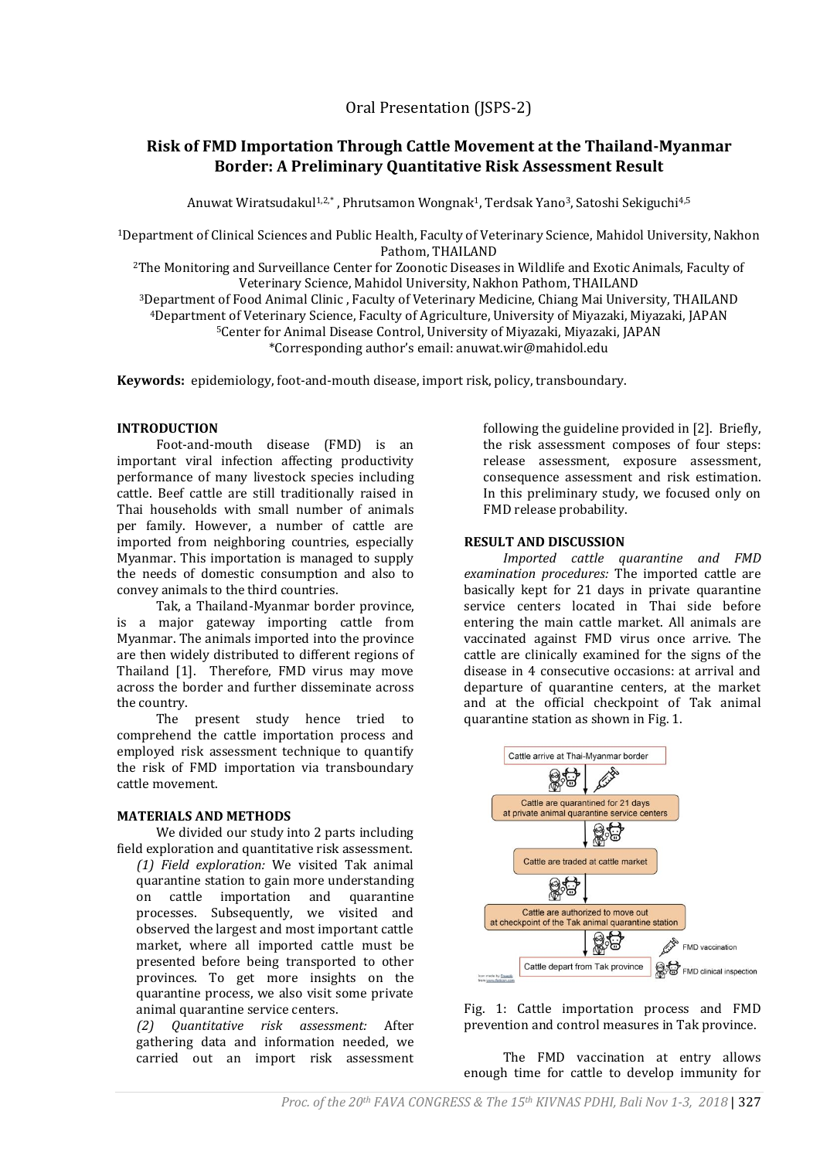Oral Presentation (JSPS-2)

# **Risk of FMD Importation Through Cattle Movement at the Thailand-Myanmar Border: A Preliminary Quantitative Risk Assessment Result**

Anuwat Wiratsudakul<sup>1,2,\*</sup>, Phrutsamon Wongnak<sup>1</sup>, Terdsak Yano<sup>3</sup>, Satoshi Sekiguchi<sup>4,5</sup>

<sup>1</sup>Department of Clinical Sciences and Public Health, Faculty of Veterinary Science, Mahidol University, Nakhon Pathom, THAILAND

<sup>2</sup>The Monitoring and Surveillance Center for Zoonotic Diseases in Wildlife and Exotic Animals, Faculty of Veterinary Science, Mahidol University, Nakhon Pathom, THAILAND

Department of Food Animal Clinic , Faculty of Veterinary Medicine, Chiang Mai University, THAILAND Department of Veterinary Science, Faculty of Agriculture, University of Miyazaki, Miyazaki, JAPAN Center for Animal Disease Control, University of Miyazaki, Miyazaki, JAPAN \*Corresponding author's email: anuwat.wir@mahidol.edu

**Keywords:** epidemiology, foot-and-mouth disease, import risk, policy, transboundary.

# **INTRODUCTION**

Foot-and-mouth disease (FMD) is an important viral infection affecting productivity performance of many livestock species including cattle. Beef cattle are still traditionally raised in Thai households with small number of animals per family. However, a number of cattle are imported from neighboring countries, especially Myanmar. This importation is managed to supply the needs of domestic consumption and also to convey animals to the third countries.

Tak, a Thailand-Myanmar border province, is a major gateway importing cattle from Myanmar. The animals imported into the province are then widely distributed to different regions of Thailand [1]. Therefore, FMD virus may move across the border and further disseminate across the country.

The present study hence tried to comprehend the cattle importation process and employed risk assessment technique to quantify the risk of FMD importation via transboundary cattle movement.

# **MATERIALS AND METHODS**

We divided our study into 2 parts including field exploration and quantitative risk assessment.

*(1) Field exploration:* We visited Tak animal quarantine station to gain more understanding on cattle importation and quarantine processes. Subsequently, we visited and observed the largest and most important cattle market, where all imported cattle must be presented before being transported to other provinces. To get more insights on the quarantine process, we also visit some private animal quarantine service centers.

*(2) Quantitative risk assessment:* After gathering data and information needed, we carried out an import risk assessment

following the guideline provided in [2]. Briefly, the risk assessment composes of four steps: release assessment, exposure assessment, consequence assessment and risk estimation. In this preliminary study, we focused only on FMD release probability.

# **RESULT AND DISCUSSION**

*Imported cattle quarantine and FMD examination procedures:* The imported cattle are basically kept for 21 days in private quarantine service centers located in Thai side before entering the main cattle market. All animals are vaccinated against FMD virus once arrive. The cattle are clinically examined for the signs of the disease in 4 consecutive occasions: at arrival and departure of quarantine centers, at the market and at the official checkpoint of Tak animal quarantine station as shown in Fig. 1.



Fig. 1: Cattle importation process and FMD prevention and control measures in Tak province.

The FMD vaccination at entry allows enough time for cattle to develop immunity for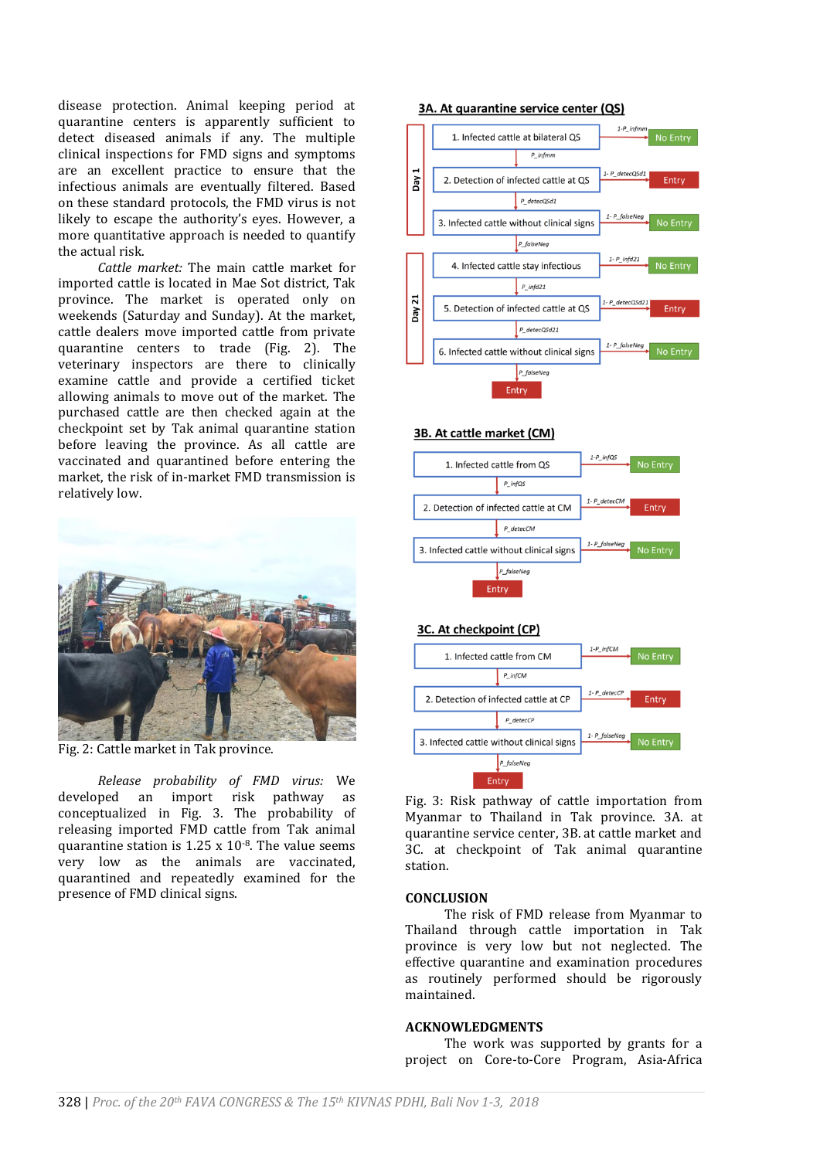disease protection. Animal keeping period at quarantine centers is apparently sufficient to detect diseased animals if any. The multiple clinical inspections for FMD signs and symptoms are an excellent practice to ensure that the infectious animals are eventually filtered. Based on these standard protocols, the FMD virus is not likely to escape the authority's eyes. However, a more quantitative approach is needed to quantify the actual risk.

*Cattle market:* The main cattle market for imported cattle is located in Mae Sot district, Tak province. The market is operated only on weekends (Saturday and Sunday). At the market, cattle dealers move imported cattle from private quarantine centers to trade (Fig. 2). The veterinary inspectors are there to clinically examine cattle and provide a certified ticket allowing animals to move out of the market. The purchased cattle are then checked again at the checkpoint set by Tak animal quarantine station before leaving the province. As all cattle are vaccinated and quarantined before entering the market, the risk of in-market FMD transmission is relatively low.



Fig. 2: Cattle market in Tak province.

*Release probability of FMD virus:* We developed an import risk pathway as conceptualized in Fig. 3. The probability of releasing imported FMD cattle from Tak animal quarantine station is  $1.25 \times 10^{-8}$ . The value seems very low as the animals are vaccinated, quarantined and repeatedly examined for the presence of FMD clinical signs.

#### 3A. At quarantine service center (QS)



#### 3B. At cattle market (CM)



# 3C. At checkpoint (CP)



Fig. 3: Risk pathway of cattle importation from Myanmar to Thailand in Tak province. 3A. at quarantine service center, 3B. at cattle market and 3C. at checkpoint of Tak animal quarantine station.

# **CONCLUSION**

The risk of FMD release from Myanmar to Thailand through cattle importation in Tak province is very low but not neglected. The effective quarantine and examination procedures as routinely performed should be rigorously maintained.

#### **ACKNOWLEDGMENTS**

The work was supported by grants for a project on Core-to-Core Program, Asia-Africa